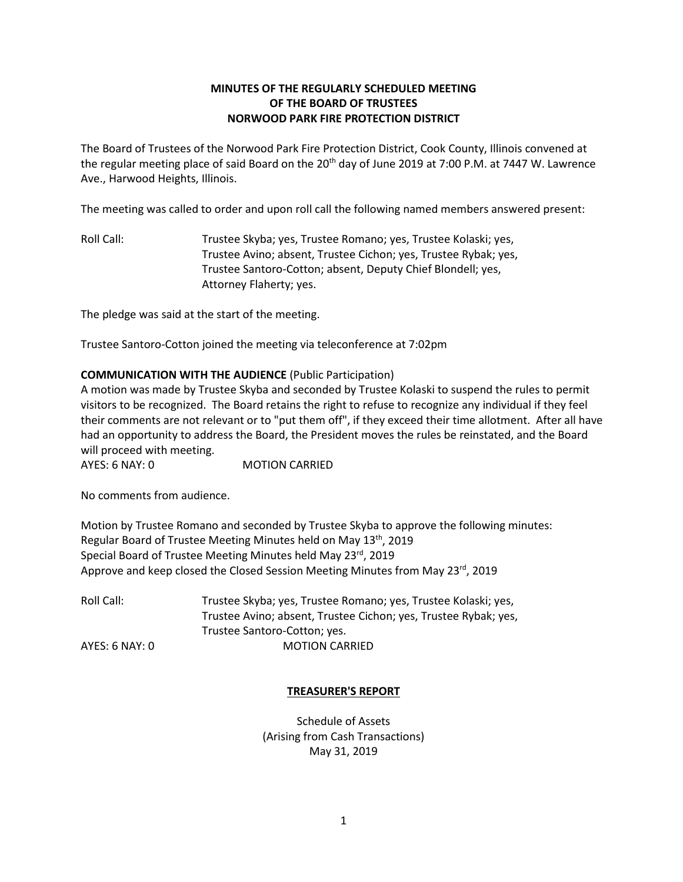# **MINUTES OF THE REGULARLY SCHEDULED MEETING OF THE BOARD OF TRUSTEES NORWOOD PARK FIRE PROTECTION DISTRICT**

The Board of Trustees of the Norwood Park Fire Protection District, Cook County, Illinois convened at the regular meeting place of said Board on the 20<sup>th</sup> day of June 2019 at 7:00 P.M. at 7447 W. Lawrence Ave., Harwood Heights, Illinois.

The meeting was called to order and upon roll call the following named members answered present:

Roll Call: Trustee Skyba; yes, Trustee Romano; yes, Trustee Kolaski; yes, Trustee Avino; absent, Trustee Cichon; yes, Trustee Rybak; yes, Trustee Santoro-Cotton; absent, Deputy Chief Blondell; yes, Attorney Flaherty; yes.

The pledge was said at the start of the meeting.

Trustee Santoro-Cotton joined the meeting via teleconference at 7:02pm

### **COMMUNICATION WITH THE AUDIENCE** (Public Participation)

A motion was made by Trustee Skyba and seconded by Trustee Kolaski to suspend the rules to permit visitors to be recognized. The Board retains the right to refuse to recognize any individual if they feel their comments are not relevant or to "put them off", if they exceed their time allotment. After all have had an opportunity to address the Board, the President moves the rules be reinstated, and the Board will proceed with meeting.

AYES: 6 NAY: 0 MOTION CARRIED

No comments from audience.

Motion by Trustee Romano and seconded by Trustee Skyba to approve the following minutes: Regular Board of Trustee Meeting Minutes held on May 13<sup>th</sup>, 2019 Special Board of Trustee Meeting Minutes held May 23rd, 2019 Approve and keep closed the Closed Session Meeting Minutes from May  $23^{rd}$ , 2019

| Roll Call:     | Trustee Skyba; yes, Trustee Romano; yes, Trustee Kolaski; yes,  |
|----------------|-----------------------------------------------------------------|
|                | Trustee Avino; absent, Trustee Cichon; yes, Trustee Rybak; yes, |
|                | Trustee Santoro-Cotton; yes.                                    |
| AYES: 6 NAY: 0 | <b>MOTION CARRIED</b>                                           |

### **TREASURER'S REPORT**

Schedule of Assets (Arising from Cash Transactions) May 31, 2019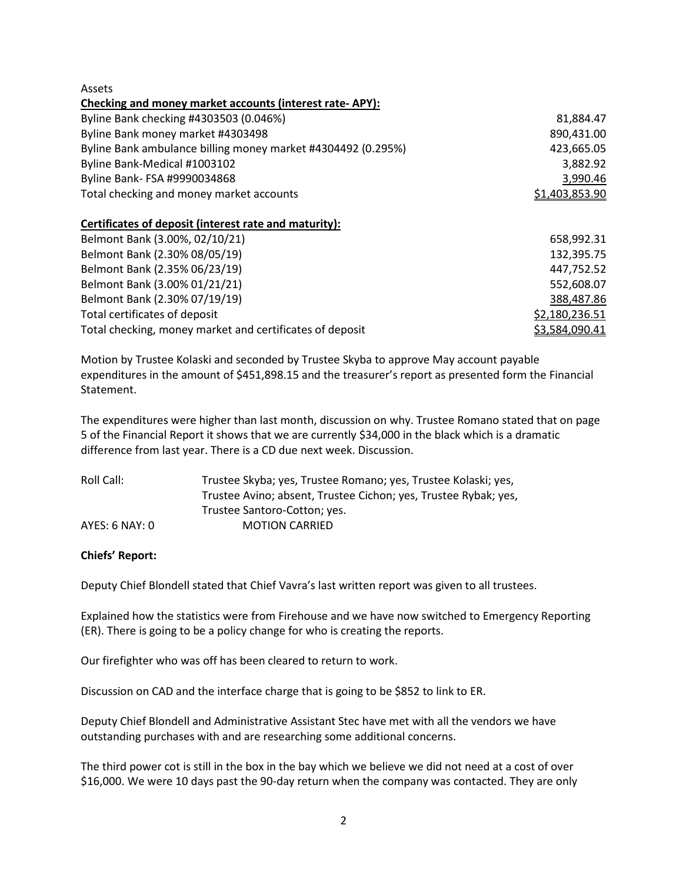Assets

| Checking and money market accounts (interest rate-APY):      |                |  |
|--------------------------------------------------------------|----------------|--|
| Byline Bank checking #4303503 (0.046%)                       | 81,884.47      |  |
| Byline Bank money market #4303498                            | 890,431.00     |  |
| Byline Bank ambulance billing money market #4304492 (0.295%) | 423,665.05     |  |
| Byline Bank-Medical #1003102                                 | 3.882.92       |  |
| Byline Bank- FSA #9990034868                                 | 3,990.46       |  |
| Total checking and money market accounts                     | \$1,403,853.90 |  |

### **Certificates of deposit (interest rate and maturity):**

| Belmont Bank (3.00%, 02/10/21)                           | 658,992.31     |
|----------------------------------------------------------|----------------|
| Belmont Bank (2.30% 08/05/19)                            | 132,395.75     |
| Belmont Bank (2.35% 06/23/19)                            | 447,752.52     |
| Belmont Bank (3.00% 01/21/21)                            | 552,608.07     |
| Belmont Bank (2.30% 07/19/19)                            | 388,487.86     |
| Total certificates of deposit                            | \$2,180,236.51 |
| Total checking, money market and certificates of deposit | \$3,584,090.41 |

Motion by Trustee Kolaski and seconded by Trustee Skyba to approve May account payable expenditures in the amount of \$451,898.15 and the treasurer's report as presented form the Financial Statement.

The expenditures were higher than last month, discussion on why. Trustee Romano stated that on page 5 of the Financial Report it shows that we are currently \$34,000 in the black which is a dramatic difference from last year. There is a CD due next week. Discussion.

| Roll Call:         | Trustee Skyba; yes, Trustee Romano; yes, Trustee Kolaski; yes,  |
|--------------------|-----------------------------------------------------------------|
|                    | Trustee Avino; absent, Trustee Cichon; yes, Trustee Rybak; yes, |
|                    | Trustee Santoro-Cotton; yes.                                    |
| $AYES: 6$ NAY: $0$ | <b>MOTION CARRIED</b>                                           |

### **Chiefs' Report:**

Deputy Chief Blondell stated that Chief Vavra's last written report was given to all trustees.

Explained how the statistics were from Firehouse and we have now switched to Emergency Reporting (ER). There is going to be a policy change for who is creating the reports.

Our firefighter who was off has been cleared to return to work.

Discussion on CAD and the interface charge that is going to be \$852 to link to ER.

Deputy Chief Blondell and Administrative Assistant Stec have met with all the vendors we have outstanding purchases with and are researching some additional concerns.

The third power cot is still in the box in the bay which we believe we did not need at a cost of over \$16,000. We were 10 days past the 90-day return when the company was contacted. They are only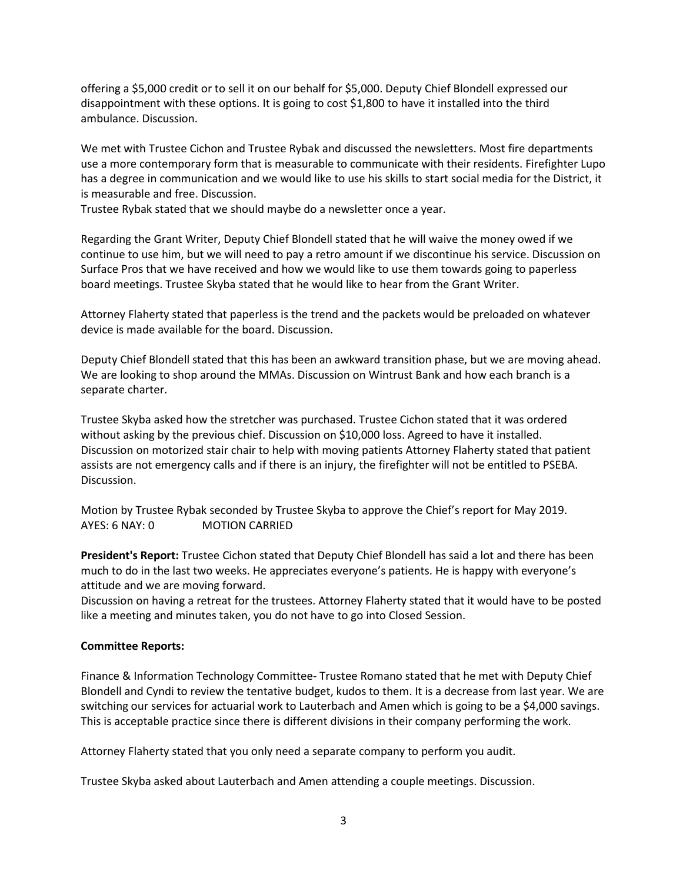offering a \$5,000 credit or to sell it on our behalf for \$5,000. Deputy Chief Blondell expressed our disappointment with these options. It is going to cost \$1,800 to have it installed into the third ambulance. Discussion.

We met with Trustee Cichon and Trustee Rybak and discussed the newsletters. Most fire departments use a more contemporary form that is measurable to communicate with their residents. Firefighter Lupo has a degree in communication and we would like to use his skills to start social media for the District, it is measurable and free. Discussion.

Trustee Rybak stated that we should maybe do a newsletter once a year.

Regarding the Grant Writer, Deputy Chief Blondell stated that he will waive the money owed if we continue to use him, but we will need to pay a retro amount if we discontinue his service. Discussion on Surface Pros that we have received and how we would like to use them towards going to paperless board meetings. Trustee Skyba stated that he would like to hear from the Grant Writer.

Attorney Flaherty stated that paperless is the trend and the packets would be preloaded on whatever device is made available for the board. Discussion.

Deputy Chief Blondell stated that this has been an awkward transition phase, but we are moving ahead. We are looking to shop around the MMAs. Discussion on Wintrust Bank and how each branch is a separate charter.

Trustee Skyba asked how the stretcher was purchased. Trustee Cichon stated that it was ordered without asking by the previous chief. Discussion on \$10,000 loss. Agreed to have it installed. Discussion on motorized stair chair to help with moving patients Attorney Flaherty stated that patient assists are not emergency calls and if there is an injury, the firefighter will not be entitled to PSEBA. Discussion.

Motion by Trustee Rybak seconded by Trustee Skyba to approve the Chief's report for May 2019. AYES: 6 NAY: 0 MOTION CARRIED

**President's Report:** Trustee Cichon stated that Deputy Chief Blondell has said a lot and there has been much to do in the last two weeks. He appreciates everyone's patients. He is happy with everyone's attitude and we are moving forward.

Discussion on having a retreat for the trustees. Attorney Flaherty stated that it would have to be posted like a meeting and minutes taken, you do not have to go into Closed Session.

### **Committee Reports:**

Finance & Information Technology Committee- Trustee Romano stated that he met with Deputy Chief Blondell and Cyndi to review the tentative budget, kudos to them. It is a decrease from last year. We are switching our services for actuarial work to Lauterbach and Amen which is going to be a \$4,000 savings. This is acceptable practice since there is different divisions in their company performing the work.

Attorney Flaherty stated that you only need a separate company to perform you audit.

Trustee Skyba asked about Lauterbach and Amen attending a couple meetings. Discussion.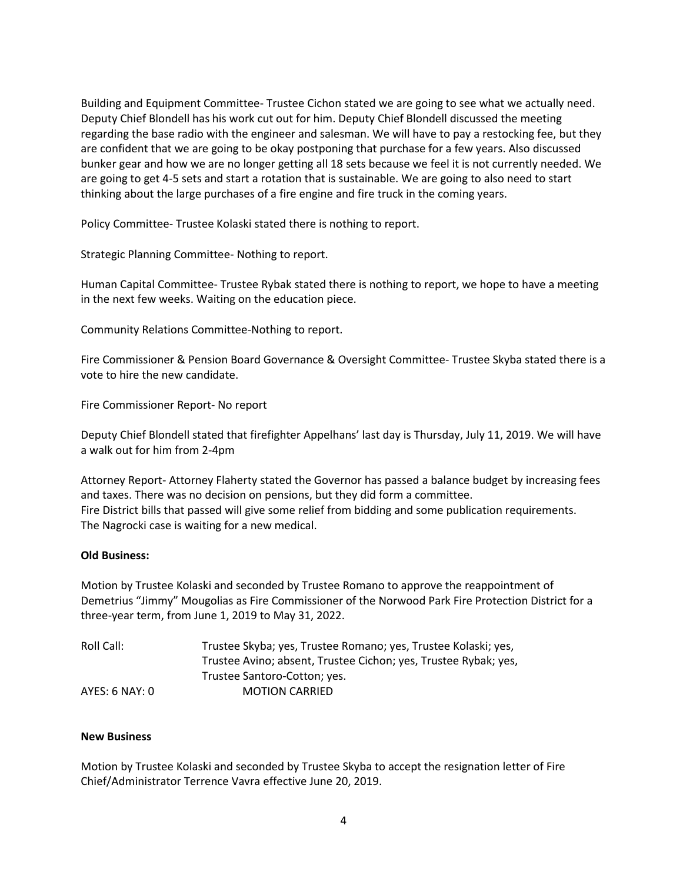Building and Equipment Committee- Trustee Cichon stated we are going to see what we actually need. Deputy Chief Blondell has his work cut out for him. Deputy Chief Blondell discussed the meeting regarding the base radio with the engineer and salesman. We will have to pay a restocking fee, but they are confident that we are going to be okay postponing that purchase for a few years. Also discussed bunker gear and how we are no longer getting all 18 sets because we feel it is not currently needed. We are going to get 4-5 sets and start a rotation that is sustainable. We are going to also need to start thinking about the large purchases of a fire engine and fire truck in the coming years.

Policy Committee- Trustee Kolaski stated there is nothing to report.

Strategic Planning Committee- Nothing to report.

Human Capital Committee- Trustee Rybak stated there is nothing to report, we hope to have a meeting in the next few weeks. Waiting on the education piece.

Community Relations Committee-Nothing to report.

Fire Commissioner & Pension Board Governance & Oversight Committee- Trustee Skyba stated there is a vote to hire the new candidate.

Fire Commissioner Report- No report

Deputy Chief Blondell stated that firefighter Appelhans' last day is Thursday, July 11, 2019. We will have a walk out for him from 2-4pm

Attorney Report- Attorney Flaherty stated the Governor has passed a balance budget by increasing fees and taxes. There was no decision on pensions, but they did form a committee. Fire District bills that passed will give some relief from bidding and some publication requirements. The Nagrocki case is waiting for a new medical.

### **Old Business:**

Motion by Trustee Kolaski and seconded by Trustee Romano to approve the reappointment of Demetrius "Jimmy" Mougolias as Fire Commissioner of the Norwood Park Fire Protection District for a three-year term, from June 1, 2019 to May 31, 2022.

| Roll Call:     | Trustee Skyba; yes, Trustee Romano; yes, Trustee Kolaski; yes,  |
|----------------|-----------------------------------------------------------------|
|                | Trustee Avino; absent, Trustee Cichon; yes, Trustee Rybak; yes, |
|                | Trustee Santoro-Cotton; yes.                                    |
| AYES: 6 NAY: 0 | <b>MOTION CARRIED</b>                                           |

## **New Business**

Motion by Trustee Kolaski and seconded by Trustee Skyba to accept the resignation letter of Fire Chief/Administrator Terrence Vavra effective June 20, 2019.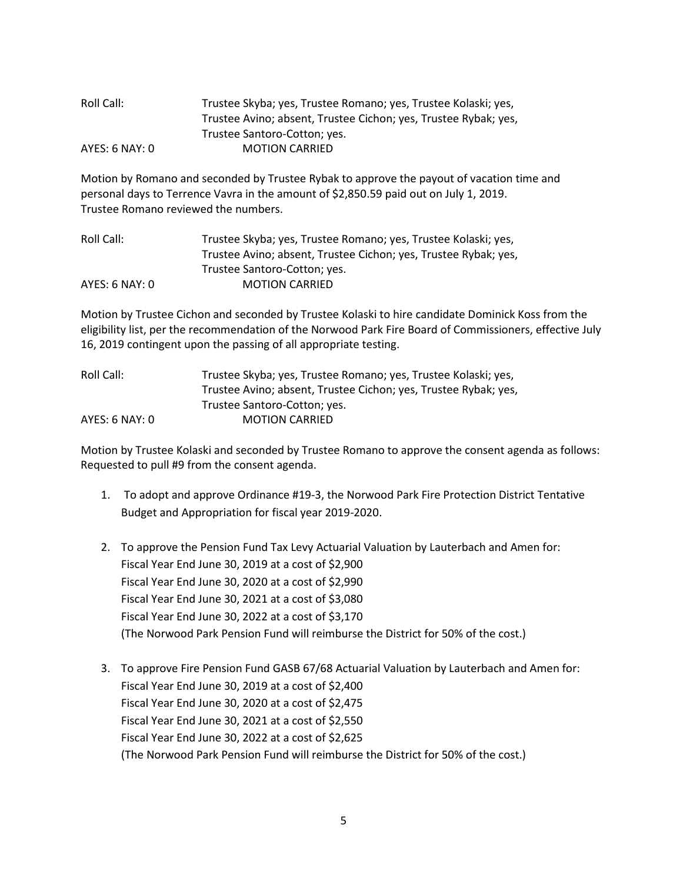| Roll Call:     | Trustee Skyba; yes, Trustee Romano; yes, Trustee Kolaski; yes,  |
|----------------|-----------------------------------------------------------------|
|                | Trustee Avino; absent, Trustee Cichon; yes, Trustee Rybak; yes, |
|                | Trustee Santoro-Cotton; yes.                                    |
| AYES: 6 NAY: 0 | <b>MOTION CARRIED</b>                                           |

Motion by Romano and seconded by Trustee Rybak to approve the payout of vacation time and personal days to Terrence Vavra in the amount of \$2,850.59 paid out on July 1, 2019. Trustee Romano reviewed the numbers.

| Roll Call:     | Trustee Skyba; yes, Trustee Romano; yes, Trustee Kolaski; yes,  |
|----------------|-----------------------------------------------------------------|
|                | Trustee Avino; absent, Trustee Cichon; yes, Trustee Rybak; yes, |
|                | Trustee Santoro-Cotton; yes.                                    |
| AYES: 6 NAY: 0 | <b>MOTION CARRIED</b>                                           |

Motion by Trustee Cichon and seconded by Trustee Kolaski to hire candidate Dominick Koss from the eligibility list, per the recommendation of the Norwood Park Fire Board of Commissioners, effective July 16, 2019 contingent upon the passing of all appropriate testing.

| Roll Call:     | Trustee Skyba; yes, Trustee Romano; yes, Trustee Kolaski; yes,  |
|----------------|-----------------------------------------------------------------|
|                | Trustee Avino; absent, Trustee Cichon; yes, Trustee Rybak; yes, |
|                | Trustee Santoro-Cotton; yes.                                    |
| AYES: 6 NAY: 0 | <b>MOTION CARRIED</b>                                           |

Motion by Trustee Kolaski and seconded by Trustee Romano to approve the consent agenda as follows: Requested to pull #9 from the consent agenda.

- 1. To adopt and approve Ordinance #19-3, the Norwood Park Fire Protection District Tentative Budget and Appropriation for fiscal year 2019-2020.
- 2. To approve the Pension Fund Tax Levy Actuarial Valuation by Lauterbach and Amen for: Fiscal Year End June 30, 2019 at a cost of \$2,900 Fiscal Year End June 30, 2020 at a cost of \$2,990 Fiscal Year End June 30, 2021 at a cost of \$3,080 Fiscal Year End June 30, 2022 at a cost of \$3,170 (The Norwood Park Pension Fund will reimburse the District for 50% of the cost.)
- 3. To approve Fire Pension Fund GASB 67/68 Actuarial Valuation by Lauterbach and Amen for: Fiscal Year End June 30, 2019 at a cost of \$2,400 Fiscal Year End June 30, 2020 at a cost of \$2,475 Fiscal Year End June 30, 2021 at a cost of \$2,550 Fiscal Year End June 30, 2022 at a cost of \$2,625 (The Norwood Park Pension Fund will reimburse the District for 50% of the cost.)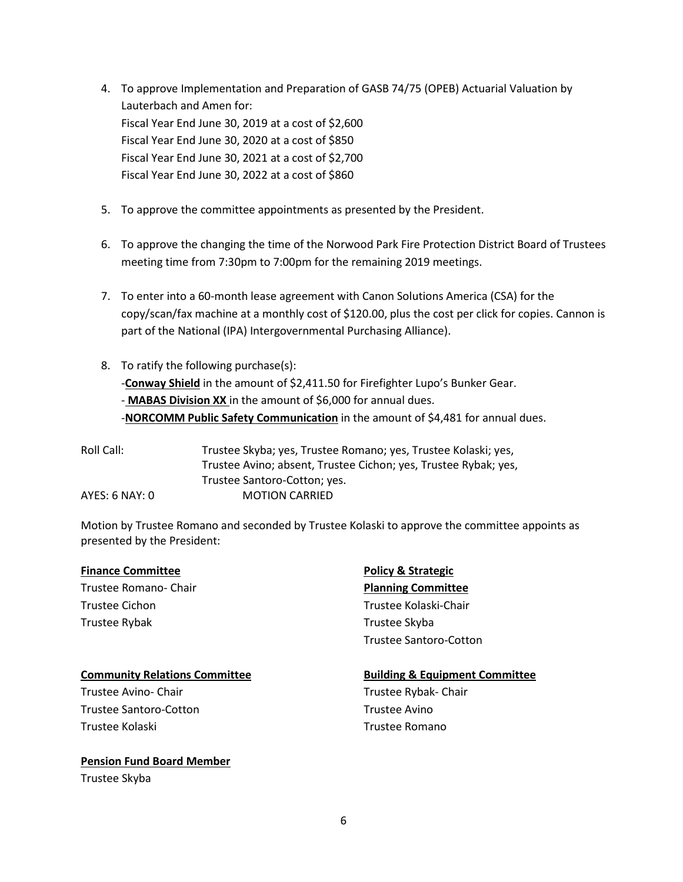- 4. To approve Implementation and Preparation of GASB 74/75 (OPEB) Actuarial Valuation by Lauterbach and Amen for: Fiscal Year End June 30, 2019 at a cost of \$2,600 Fiscal Year End June 30, 2020 at a cost of \$850 Fiscal Year End June 30, 2021 at a cost of \$2,700 Fiscal Year End June 30, 2022 at a cost of \$860
- 5. To approve the committee appointments as presented by the President.
- 6. To approve the changing the time of the Norwood Park Fire Protection District Board of Trustees meeting time from 7:30pm to 7:00pm for the remaining 2019 meetings.
- 7. To enter into a 60-month lease agreement with Canon Solutions America (CSA) for the copy/scan/fax machine at a monthly cost of \$120.00, plus the cost per click for copies. Cannon is part of the National (IPA) Intergovernmental Purchasing Alliance).
- 8. To ratify the following purchase(s): -**Conway Shield** in the amount of \$2,411.50 for Firefighter Lupo's Bunker Gear. - **MABAS Division XX** in the amount of \$6,000 for annual dues. -**NORCOMM Public Safety Communication** in the amount of \$4,481 for annual dues.

| Roll Call:     | Trustee Skyba; yes, Trustee Romano; yes, Trustee Kolaski; yes,  |
|----------------|-----------------------------------------------------------------|
|                | Trustee Avino; absent, Trustee Cichon; yes, Trustee Rybak; yes, |
|                | Trustee Santoro-Cotton; yes.                                    |
| AYES: 6 NAY: 0 | <b>MOTION CARRIED</b>                                           |

Motion by Trustee Romano and seconded by Trustee Kolaski to approve the committee appoints as presented by the President:

#### **Finance Committee Example 26 Telecommittee Policy & Strategic**

Trustee Romano- Chair **Planning Committee** Trustee Cichon Trustee Kolaski-Chair Trustee Rybak Trustee Skyba

#### **Community Relations Committee <b>Building & Equipment Committee**

Trustee Avino- Chair **Trustee Rybak- Chair** Trustee Rybak- Chair Trustee Santoro-Cotton Trustee Avino Trustee Kolaski Trustee Romano

# **Pension Fund Board Member**

Trustee Skyba

Trustee Santoro-Cotton